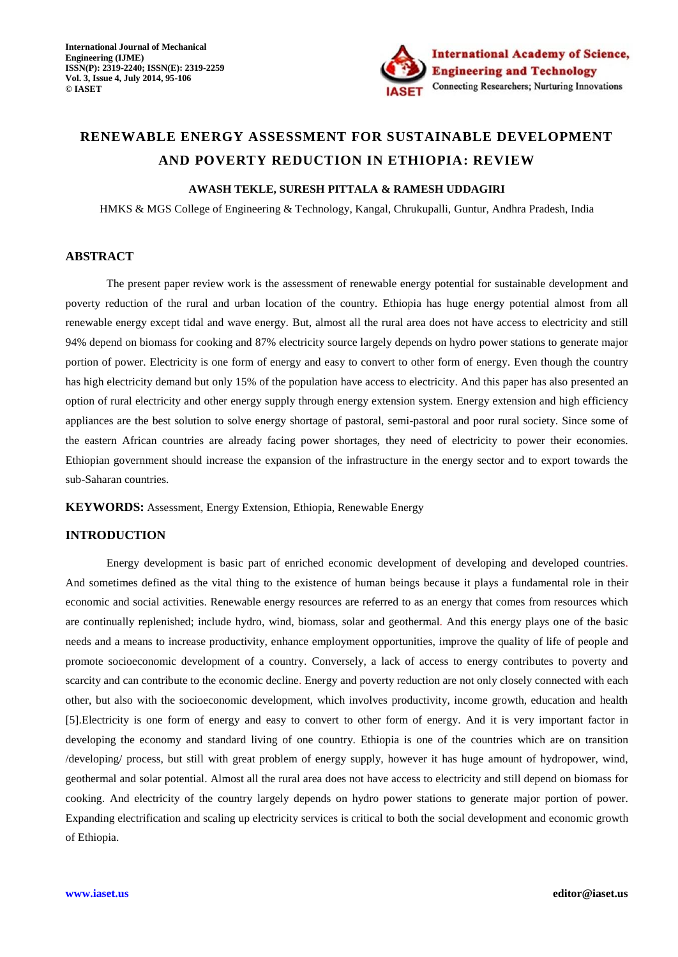

# **RENEWABLE ENERGY ASSESSMENT FOR SUSTAINABLE DEVELOPMENT AND POVERTY REDUCTION IN ETHIOPIA: REVIEW**

# **AWASH TEKLE, SURESH PITTALA & RAMESH UDDAGIRI**

HMKS & MGS College of Engineering & Technology, Kangal, Chrukupalli, Guntur, Andhra Pradesh, India

# **ABSTRACT**

The present paper review work is the assessment of renewable energy potential for sustainable development and poverty reduction of the rural and urban location of the country. Ethiopia has huge energy potential almost from all renewable energy except tidal and wave energy. But, almost all the rural area does not have access to electricity and still 94% depend on biomass for cooking and 87% electricity source largely depends on hydro power stations to generate major portion of power. Electricity is one form of energy and easy to convert to other form of energy. Even though the country has high electricity demand but only 15% of the population have access to electricity. And this paper has also presented an option of rural electricity and other energy supply through energy extension system. Energy extension and high efficiency appliances are the best solution to solve energy shortage of pastoral, semi-pastoral and poor rural society. Since some of the eastern African countries are already facing power shortages, they need of electricity to power their economies. Ethiopian government should increase the expansion of the infrastructure in the energy sector and to export towards the sub-Saharan countries.

**KEYWORDS:** Assessment, Energy Extension, Ethiopia, Renewable Energy

# **INTRODUCTION**

Energy development is basic part of enriched economic development of developing and developed countries. And sometimes defined as the vital thing to the existence of human beings because it plays a fundamental role in their economic and social activities. Renewable energy resources are referred to as an energy that comes from resources which are continually replenished; include hydro, wind, biomass, solar and geothermal. And this energy plays one of the basic needs and a means to increase productivity, enhance employment opportunities, improve the quality of life of people and promote socioeconomic development of a country. Conversely, a lack of access to energy contributes to poverty and scarcity and can contribute to the economic decline. Energy and poverty reduction are not only closely connected with each other, but also with the socioeconomic development, which involves productivity, income growth, education and health [5].Electricity is one form of energy and easy to convert to other form of energy. And it is very important factor in developing the economy and standard living of one country. Ethiopia is one of the countries which are on transition /developing/ process, but still with great problem of energy supply, however it has huge amount of hydropower, wind, geothermal and solar potential. Almost all the rural area does not have access to electricity and still depend on biomass for cooking. And electricity of the country largely depends on hydro power stations to generate major portion of power. Expanding electrification and scaling up electricity services is critical to both the social development and economic growth of Ethiopia.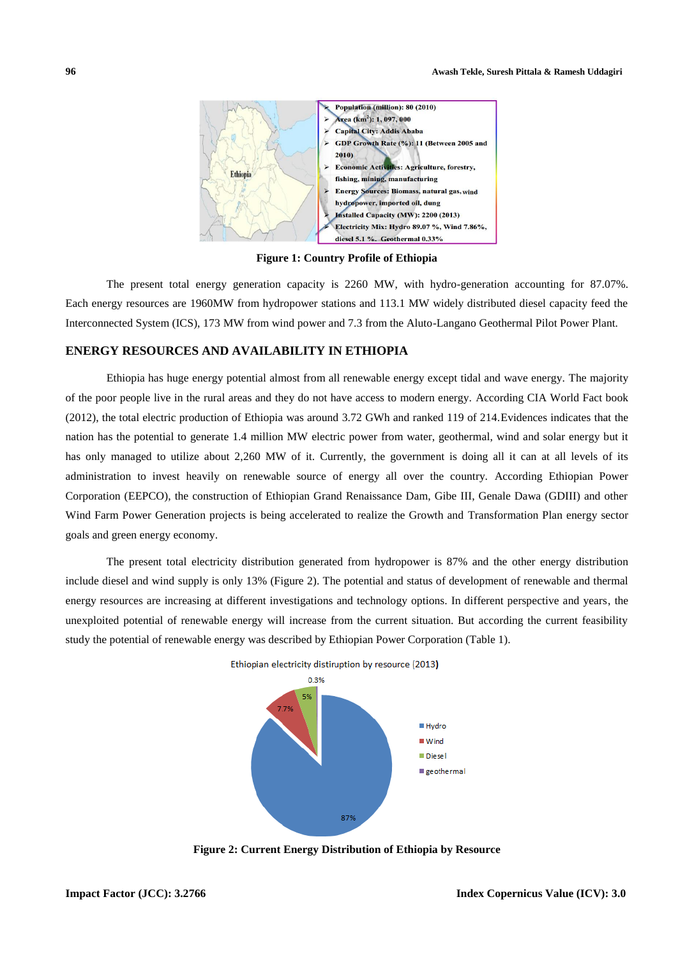

**Figure 1: Country Profile of Ethiopia**

The present total energy generation capacity is 2260 MW, with hydro-generation accounting for 87.07%. Each energy resources are 1960MW from hydropower stations and 113.1 MW widely distributed diesel capacity feed the Interconnected System (ICS), 173 MW from wind power and 7.3 from the Aluto-Langano Geothermal Pilot Power Plant.

# **ENERGY RESOURCES AND AVAILABILITY IN ETHIOPIA**

Ethiopia has huge energy potential almost from all renewable energy except tidal and wave energy. The majority of the poor people live in the rural areas and they do not have access to modern energy. According CIA World Fact book (2012), the total electric production of Ethiopia was around 3.72 GWh and ranked 119 of 214.Evidences indicates that the nation has the potential to generate 1.4 million MW electric power from water, geothermal, wind and solar energy but it has only managed to utilize about 2,260 MW of it. Currently, the government is doing all it can at all levels of its administration to invest heavily on renewable source of energy all over the country. According Ethiopian Power Corporation (EEPCO), the construction of Ethiopian Grand Renaissance Dam, Gibe III, Genale Dawa (GDIII) and other Wind Farm Power Generation projects is being accelerated to realize the Growth and Transformation Plan energy sector goals and green energy economy.

The present total electricity distribution generated from hydropower is 87% and the other energy distribution include diesel and wind supply is only 13% (Figure 2). The potential and status of development of renewable and thermal energy resources are increasing at different investigations and technology options. In different perspective and years, the unexploited potential of renewable energy will increase from the current situation. But according the current feasibility study the potential of renewable energy was described by Ethiopian Power Corporation (Table 1).



Ethiopian electricity distiruption by resource (2013)

**Figure 2: Current Energy Distribution of Ethiopia by Resource**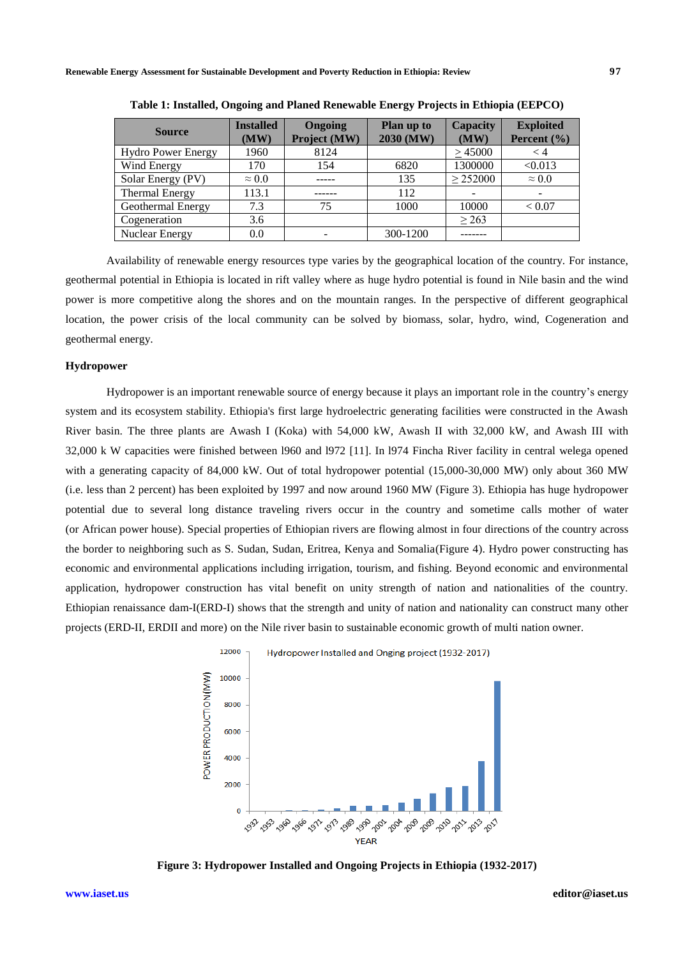| <b>Source</b>             | <b>Installed</b><br>(MW) | Ongoing<br>Project (MW) | Plan up to<br>2030 (MW) | <b>Capacity</b><br>(MW) | <b>Exploited</b><br>Percent $(\% )$ |
|---------------------------|--------------------------|-------------------------|-------------------------|-------------------------|-------------------------------------|
| <b>Hydro Power Energy</b> | 1960                     | 8124                    |                         | >45000                  | $\lt 4$                             |
| Wind Energy               | 170                      | 154                     | 6820                    | 1300000                 | < 0.013                             |
| Solar Energy (PV)         | $\approx 0.0$            |                         | 135                     | $\geq$ 252000           | $\approx 0.0$                       |
| <b>Thermal Energy</b>     | 113.1                    |                         | 112                     |                         |                                     |
| Geothermal Energy         | 7.3                      | 75                      | 1000                    | 10000                   | ${}< 0.07$                          |
| Cogeneration              | 3.6                      |                         |                         | $\geq$ 263              |                                     |
| Nuclear Energy            | 0.0                      |                         | 300-1200                |                         |                                     |

**Table 1: Installed, Ongoing and Planed Renewable Energy Projects in Ethiopia (EEPCO)**

Availability of renewable energy resources type varies by the geographical location of the country. For instance, geothermal potential in Ethiopia is located in rift valley where as huge hydro potential is found in Nile basin and the wind power is more competitive along the shores and on the mountain ranges. In the perspective of different geographical location, the power crisis of the local community can be solved by biomass, solar, hydro, wind, Cogeneration and geothermal energy.

# **Hydropower**

Hydropower is an important renewable source of energy because it plays an important role in the country's energy system and its ecosystem stability. Ethiopia's first large hydroelectric generating facilities were constructed in the Awash River basin. The three plants are Awash I (Koka) with 54,000 kW, Awash II with 32,000 kW, and Awash III with 32,000 k W capacities were finished between l960 and l972 [11]. In l974 Fincha River facility in central welega opened with a generating capacity of 84,000 kW. Out of total hydropower potential (15,000-30,000 MW) only about 360 MW (i.e. less than 2 percent) has been exploited by 1997 and now around 1960 MW (Figure 3). Ethiopia has huge hydropower potential due to several long distance traveling rivers occur in the country and sometime calls mother of water (or African power house). Special properties of Ethiopian rivers are flowing almost in four directions of the country across the border to neighboring such as S. Sudan, Sudan, Eritrea, Kenya and Somalia(Figure 4). Hydro power constructing has economic and environmental applications including irrigation, tourism, and fishing. Beyond economic and environmental application, hydropower construction has vital benefit on unity strength of nation and nationalities of the country. Ethiopian renaissance dam-I(ERD-I) shows that the strength and unity of nation and nationality can construct many other projects (ERD-II, ERDII and more) on the Nile river basin to sustainable economic growth of multi nation owner.



**Figure 3: Hydropower Installed and Ongoing Projects in Ethiopia (1932-2017)**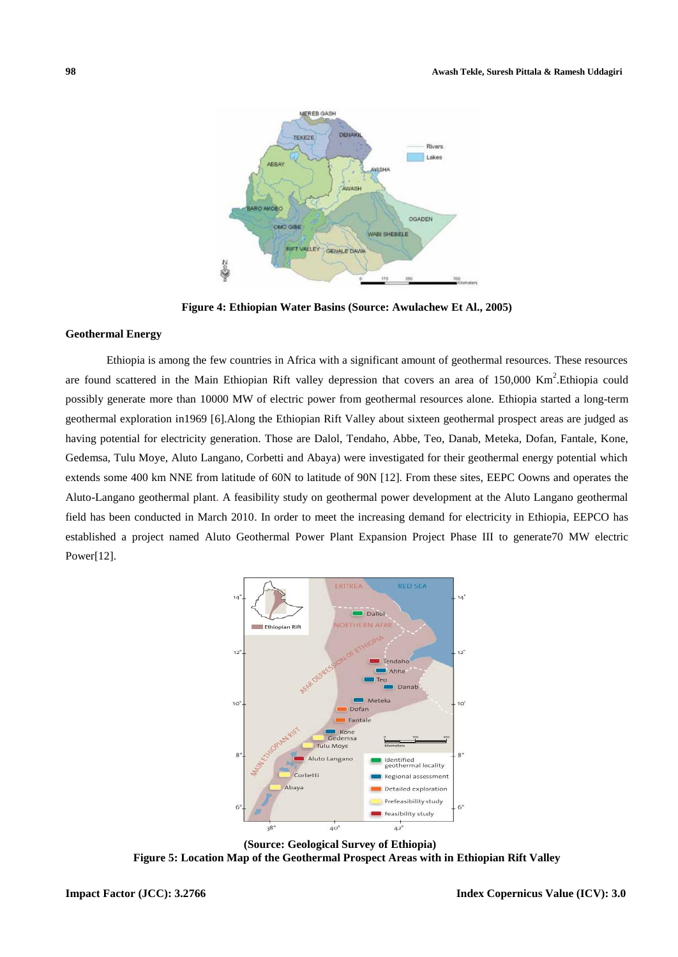

**Figure 4: Ethiopian Water Basins (Source: Awulachew Et Al., 2005)**

# **Geothermal Energy**

Ethiopia is among the few countries in Africa with a significant amount of geothermal resources. These resources are found scattered in the Main Ethiopian Rift valley depression that covers an area of 150,000 Km<sup>2</sup>. Ethiopia could possibly generate more than 10000 MW of electric power from geothermal resources alone. Ethiopia started a long-term geothermal exploration in1969 [6].Along the Ethiopian Rift Valley about sixteen geothermal prospect areas are judged as having potential for electricity generation. Those are Dalol, Tendaho, Abbe, Teo, Danab, Meteka, Dofan, Fantale, Kone, Gedemsa, Tulu Moye, Aluto Langano, Corbetti and Abaya) were investigated for their geothermal energy potential which extends some 400 km NNE from latitude of 60N to latitude of 90N [12]. From these sites, EEPC Oowns and operates the Aluto-Langano geothermal plant. A feasibility study on geothermal power development at the Aluto Langano geothermal field has been conducted in March 2010. In order to meet the increasing demand for electricity in Ethiopia, EEPCO has established a project named Aluto Geothermal Power Plant Expansion Project Phase III to generate70 MW electric Power[12].



 **(Source: Geological Survey of Ethiopia) Figure 5: Location Map of the Geothermal Prospect Areas with in Ethiopian Rift Valley**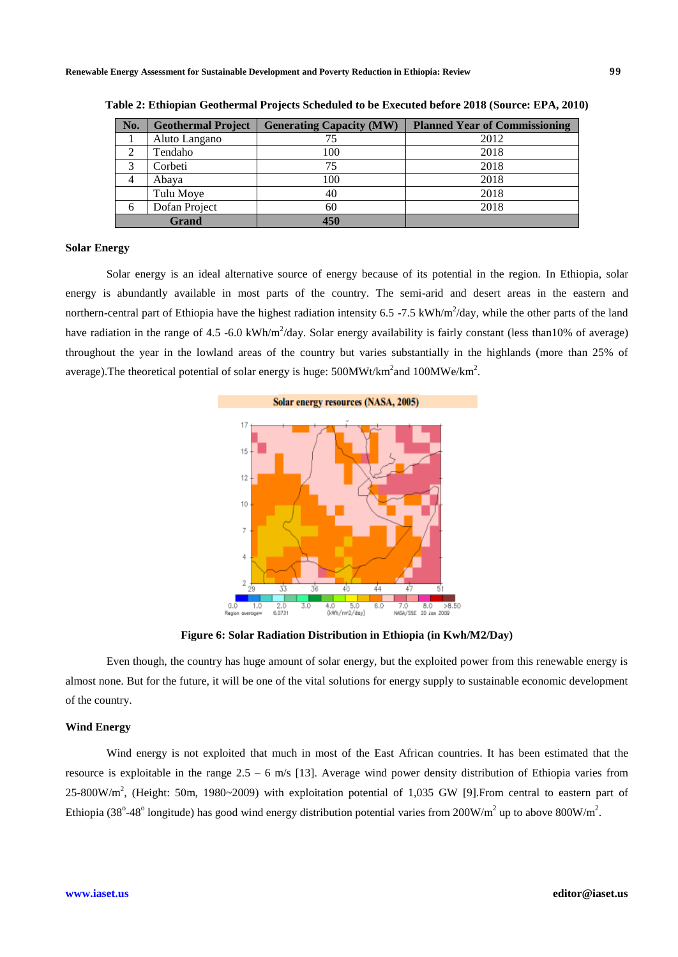| No. | <b>Geothermal Project</b> | <b>Generating Capacity (MW)</b> | <b>Planned Year of Commissioning</b> |
|-----|---------------------------|---------------------------------|--------------------------------------|
|     | Aluto Langano             | 75                              | 2012                                 |
|     | Tendaho                   | 100                             | 2018                                 |
| 2   | Corbeti                   | 75                              | 2018                                 |
| 4   | Abaya                     | 100                             | 2018                                 |
|     | Tulu Moye                 | 40                              | 2018                                 |
| 6   | Dofan Project             | 60                              | 2018                                 |
|     | Grand                     | 450                             |                                      |

| Table 2: Ethiopian Geothermal Projects Scheduled to be Executed before 2018 (Source: EPA, 2010) |  |  |  |
|-------------------------------------------------------------------------------------------------|--|--|--|
|-------------------------------------------------------------------------------------------------|--|--|--|

#### **Solar Energy**

Solar energy is an ideal alternative source of energy because of its potential in the region. In Ethiopia, solar energy is abundantly available in most parts of the country. The semi-arid and desert areas in the eastern and northern-central part of Ethiopia have the highest radiation intensity 6.5 -7.5 kWh/m<sup>2</sup>/day, while the other parts of the land have radiation in the range of 4.5 -6.0 kWh/m<sup>2</sup>/day. Solar energy availability is fairly constant (less than10% of average) throughout the year in the lowland areas of the country but varies substantially in the highlands (more than 25% of average). The theoretical potential of solar energy is huge:  $500MWt/km^2$  and  $100MWe/km^2$ .



**Figure 6: Solar Radiation Distribution in Ethiopia (in Kwh/M2/Day)**

Even though, the country has huge amount of solar energy, but the exploited power from this renewable energy is almost none. But for the future, it will be one of the vital solutions for energy supply to sustainable economic development of the country.

# **Wind Energy**

Wind energy is not exploited that much in most of the East African countries. It has been estimated that the resource is exploitable in the range  $2.5 - 6$  m/s [13]. Average wind power density distribution of Ethiopia varies from  $25-800$ W/m<sup>2</sup>, (Height: 50m, 1980~2009) with exploitation potential of 1,035 GW [9]. From central to eastern part of Ethiopia (38°-48° longitude) has good wind energy distribution potential varies from 200W/m<sup>2</sup> up to above 800W/m<sup>2</sup>.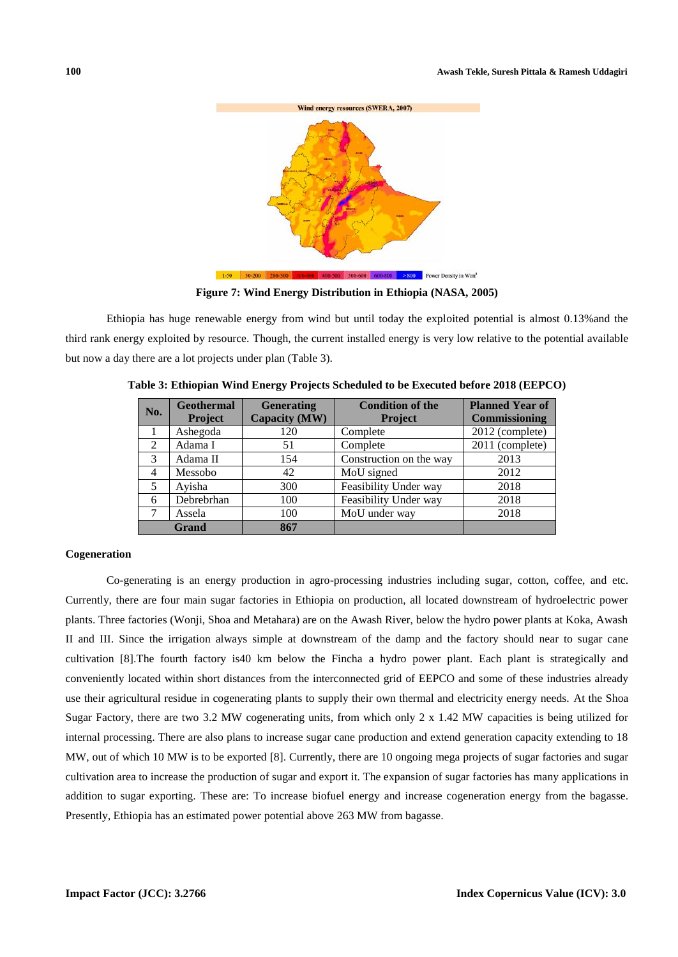

**Figure 7: Wind Energy Distribution in Ethiopia (NASA, 2005)**

Ethiopia has huge renewable energy from wind but until today the exploited potential is almost 0.13%and the third rank energy exploited by resource. Though, the current installed energy is very low relative to the potential available but now a day there are a lot projects under plan (Table 3).

| No. | <b>Geothermal</b><br>Project | <b>Generating</b><br>Capacity (MW) | <b>Condition of the</b><br><b>Project</b> | <b>Planned Year of</b><br><b>Commissioning</b> |
|-----|------------------------------|------------------------------------|-------------------------------------------|------------------------------------------------|
|     | Ashegoda                     | 120                                | Complete                                  | 2012 (complete)                                |
| 2   | Adama I                      | 51                                 | Complete                                  | 2011 (complete)                                |
| 3   | Adama II                     | 154                                | Construction on the way                   | 2013                                           |
| 4   | Messobo                      | 42                                 | MoU signed                                | 2012                                           |
| 5   | Ayisha                       | 300                                | Feasibility Under way                     | 2018                                           |
| 6   | Debrebrhan                   | 100                                | Feasibility Under way                     | 2018                                           |
| 7   | Assela                       | 100                                | MoU under way                             | 2018                                           |
|     | <b>Grand</b>                 | 867                                |                                           |                                                |

**Table 3: Ethiopian Wind Energy Projects Scheduled to be Executed before 2018 (EEPCO)**

# **Cogeneration**

Co-generating is an energy production in agro-processing industries including sugar, cotton, coffee, and etc. Currently, there are four main sugar factories in Ethiopia on production, all located downstream of hydroelectric power plants. Three factories (Wonji, Shoa and Metahara) are on the Awash River, below the hydro power plants at Koka, Awash II and III. Since the irrigation always simple at downstream of the damp and the factory should near to sugar cane cultivation [8].The fourth factory is40 km below the Fincha a hydro power plant. Each plant is strategically and conveniently located within short distances from the interconnected grid of EEPCO and some of these industries already use their agricultural residue in cogenerating plants to supply their own thermal and electricity energy needs. At the Shoa Sugar Factory, there are two 3.2 MW cogenerating units, from which only 2 x 1.42 MW capacities is being utilized for internal processing. There are also plans to increase sugar cane production and extend generation capacity extending to 18 MW, out of which 10 MW is to be exported [8]. Currently, there are 10 ongoing mega projects of sugar factories and sugar cultivation area to increase the production of sugar and export it. The expansion of sugar factories has many applications in addition to sugar exporting. These are: To increase biofuel energy and increase cogeneration energy from the bagasse. Presently, Ethiopia has an estimated power potential above 263 MW from bagasse.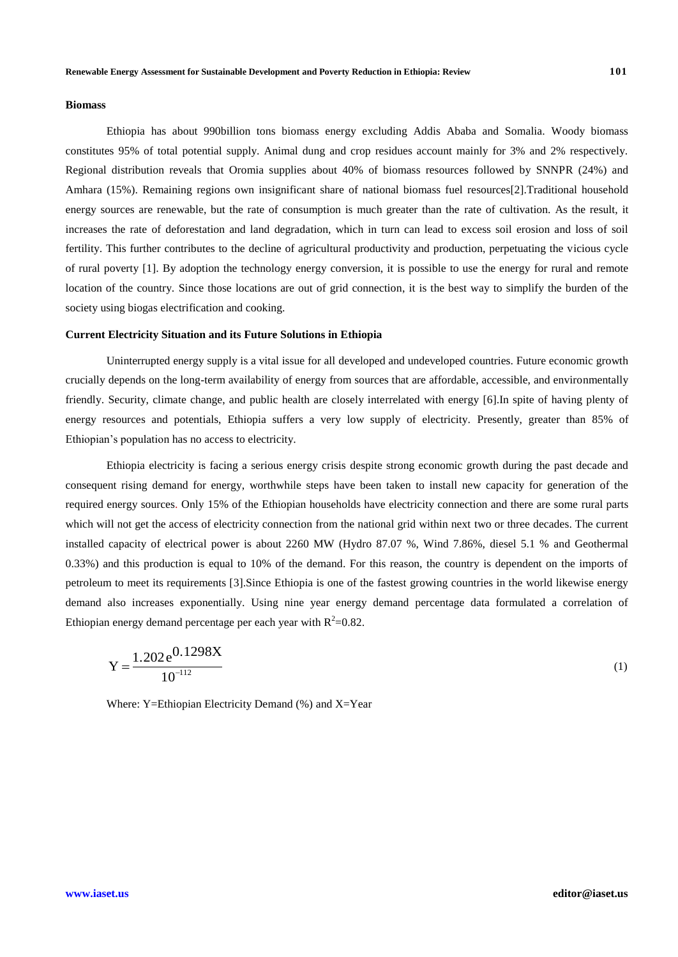### **Biomass**

Ethiopia has about 990billion tons biomass energy excluding Addis Ababa and Somalia. Woody biomass constitutes 95% of total potential supply. Animal dung and crop residues account mainly for 3% and 2% respectively. Regional distribution reveals that Oromia supplies about 40% of biomass resources followed by SNNPR (24%) and Amhara (15%). Remaining regions own insignificant share of national biomass fuel resources[2].Traditional household energy sources are renewable, but the rate of consumption is much greater than the rate of cultivation. As the result, it increases the rate of deforestation and land degradation, which in turn can lead to excess soil erosion and loss of soil fertility. This further contributes to the decline of agricultural productivity and production, perpetuating the vicious cycle of rural poverty [1]. By adoption the technology energy conversion, it is possible to use the energy for rural and remote location of the country. Since those locations are out of grid connection, it is the best way to simplify the burden of the society using biogas electrification and cooking.

#### **Current Electricity Situation and its Future Solutions in Ethiopia**

Uninterrupted energy supply is a vital issue for all developed and undeveloped countries. Future economic growth crucially depends on the long-term availability of energy from sources that are affordable, accessible, and environmentally friendly. Security, climate change, and public health are closely interrelated with energy [6].In spite of having plenty of energy resources and potentials, Ethiopia suffers a very low supply of electricity. Presently, greater than 85% of Ethiopian's population has no access to electricity.

Ethiopia electricity is facing a serious energy crisis despite strong economic growth during the past decade and consequent rising demand for energy, worthwhile steps have been taken to install new capacity for generation of the required energy sources. Only 15% of the Ethiopian households have electricity connection and there are some rural parts which will not get the access of electricity connection from the national grid within next two or three decades. The current installed capacity of electrical power is about 2260 MW (Hydro 87.07 %, Wind 7.86%, diesel 5.1 % and Geothermal 0.33%) and this production is equal to 10% of the demand. For this reason, the country is dependent on the imports of petroleum to meet its requirements [3].Since Ethiopia is one of the fastest growing countries in the world likewise energy demand also increases exponentially. Using nine year energy demand percentage data formulated a correlation of Ethiopian energy demand percentage per each year with  $R^2=0.82$ .

$$
Y = \frac{1.202 \,\mathrm{e}^{0.1298X}}{10^{-112}}\tag{1}
$$

Where: Y=Ethiopian Electricity Demand (%) and X=Year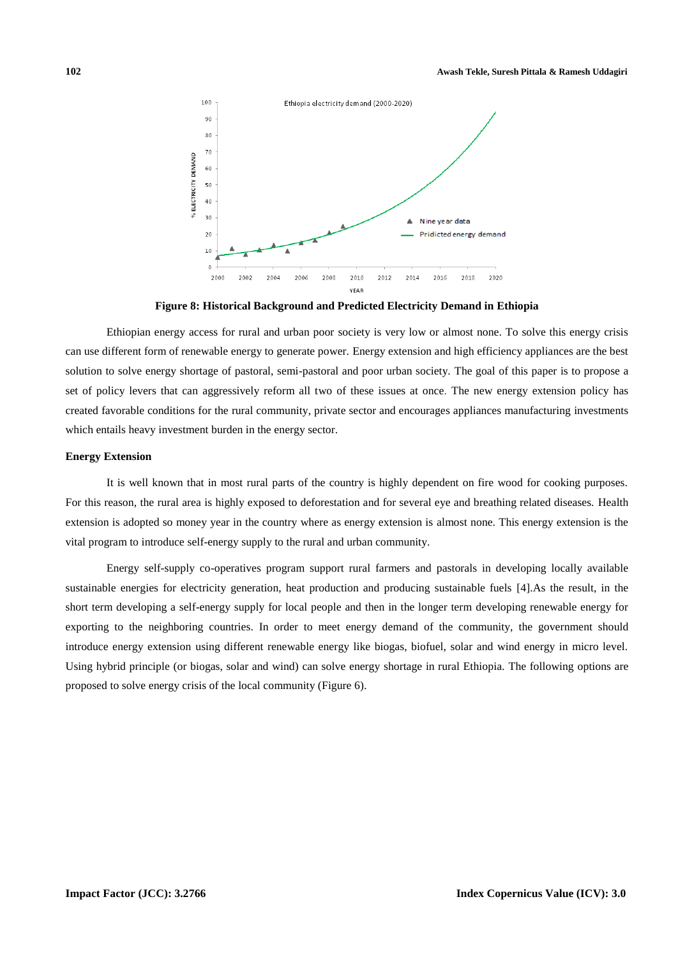

**Figure 8: Historical Background and Predicted Electricity Demand in Ethiopia**

Ethiopian energy access for rural and urban poor society is very low or almost none. To solve this energy crisis can use different form of renewable energy to generate power. Energy extension and high efficiency appliances are the best solution to solve energy shortage of pastoral, semi-pastoral and poor urban society. The goal of this paper is to propose a set of policy levers that can aggressively reform all two of these issues at once. The new energy extension policy has created favorable conditions for the rural community, private sector and encourages appliances manufacturing investments which entails heavy investment burden in the energy sector.

### **Energy Extension**

It is well known that in most rural parts of the country is highly dependent on fire wood for cooking purposes. For this reason, the rural area is highly exposed to deforestation and for several eye and breathing related diseases. Health extension is adopted so money year in the country where as energy extension is almost none. This energy extension is the vital program to introduce self-energy supply to the rural and urban community.

Energy self-supply co-operatives program support rural farmers and pastorals in developing locally available sustainable energies for electricity generation, heat production and producing sustainable fuels [4].As the result, in the short term developing a self-energy supply for local people and then in the longer term developing renewable energy for exporting to the neighboring countries. In order to meet energy demand of the community, the government should introduce energy extension using different renewable energy like biogas, biofuel, solar and wind energy in micro level. Using hybrid principle (or biogas, solar and wind) can solve energy shortage in rural Ethiopia. The following options are proposed to solve energy crisis of the local community (Figure 6).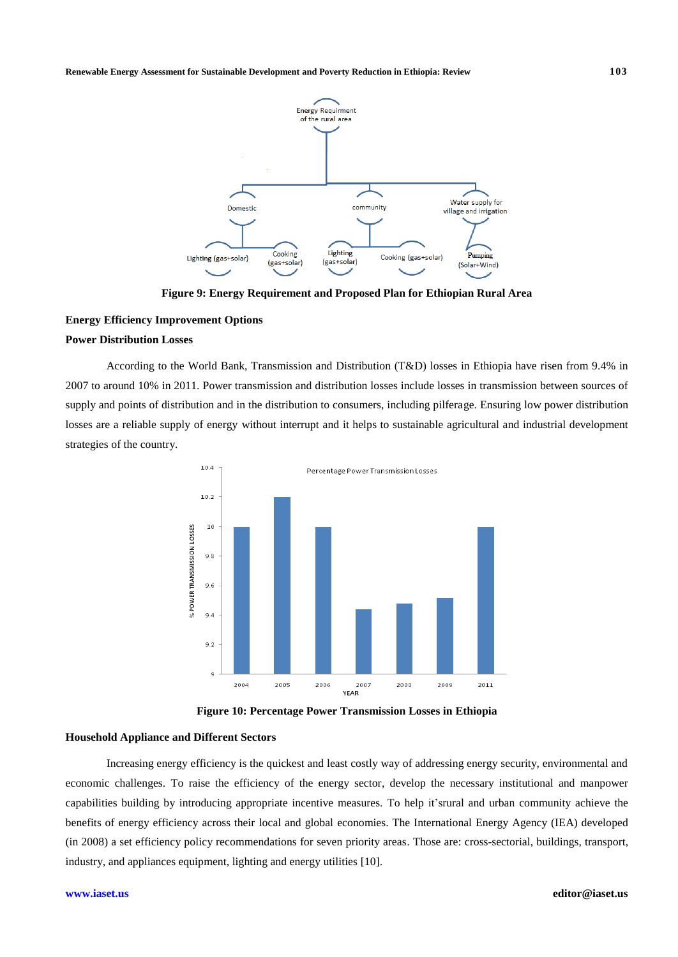

**Figure 9: Energy Requirement and Proposed Plan for Ethiopian Rural Area**

# **Energy Efficiency Improvement Options Power Distribution Losses**

According to the World Bank, Transmission and Distribution (T&D) losses in Ethiopia have risen from 9.4% in 2007 to around 10% in 2011. Power transmission and distribution losses include losses in transmission between sources of supply and points of distribution and in the distribution to consumers, including pilferage. Ensuring low power distribution losses are a reliable supply of energy without interrupt and it helps to sustainable agricultural and industrial development strategies of the country.



**Figure 10: Percentage Power Transmission Losses in Ethiopia**

#### **Household Appliance and Different Sectors**

Increasing energy efficiency is the quickest and least costly way of addressing energy security, environmental and economic challenges. To raise the efficiency of the energy sector, develop the necessary institutional and manpower capabilities building by introducing appropriate incentive measures. To help it'srural and urban community achieve the benefits of energy efficiency across their local and global economies. The International Energy Agency (IEA) developed (in 2008) a set efficiency policy recommendations for seven priority areas. Those are: cross-sectorial, buildings, transport, industry, and appliances equipment, lighting and energy utilities [10].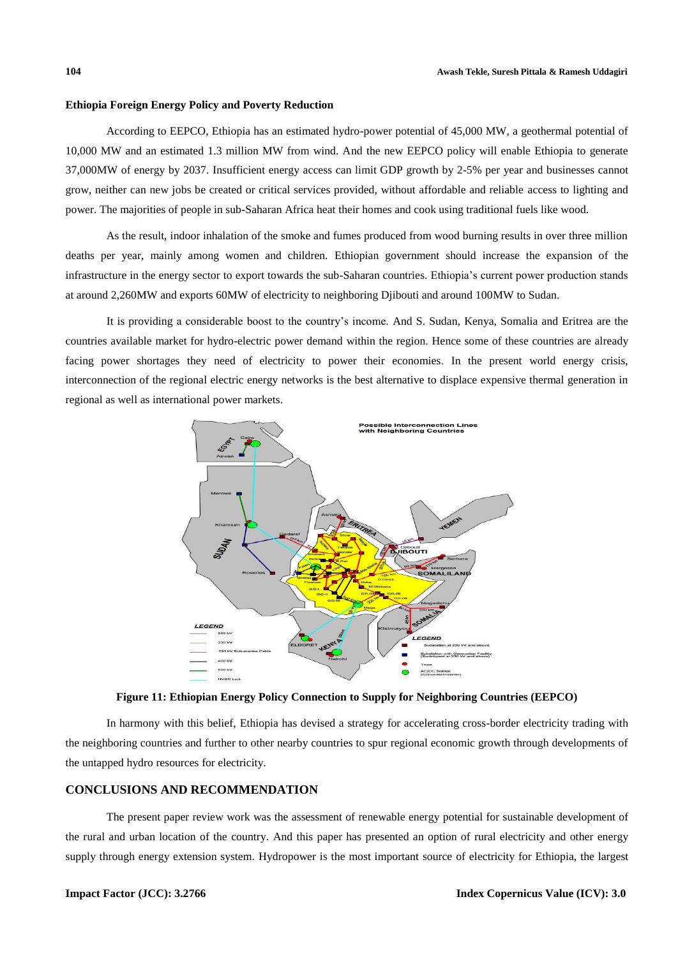## **Ethiopia Foreign Energy Policy and Poverty Reduction**

According to EEPCO, Ethiopia has an estimated hydro-power potential of 45,000 MW, a geothermal potential of 10,000 MW and an estimated 1.3 million MW from wind. And the new EEPCO policy will enable Ethiopia to generate 37,000MW of energy by 2037. Insufficient energy access can limit GDP growth by 2-5% per year and businesses cannot grow, neither can new jobs be created or critical services provided, without affordable and reliable access to lighting and power. The majorities of people in sub-Saharan Africa heat their homes and cook using traditional fuels like wood.

As the result, indoor inhalation of the smoke and fumes produced from wood burning results in over three million deaths per year, mainly among women and children. Ethiopian government should increase the expansion of the infrastructure in the energy sector to export towards the sub-Saharan countries. Ethiopia's current power production stands at around 2,260MW and exports 60MW of electricity to neighboring Djibouti and around 100MW to Sudan.

It is providing a considerable boost to the country's income. And S. Sudan, Kenya, Somalia and Eritrea are the countries available market for hydro-electric power demand within the region. Hence some of these countries are already facing power shortages they need of electricity to power their economies. In the present world energy crisis, interconnection of the regional electric energy networks is the best alternative to displace expensive thermal generation in regional as well as international power markets.



**Figure 11: Ethiopian Energy Policy Connection to Supply for Neighboring Countries (EEPCO)**

In harmony with this belief, Ethiopia has devised a strategy for accelerating cross-border electricity trading with the neighboring countries and further to other nearby countries to spur regional economic growth through developments of the untapped hydro resources for electricity.

# **CONCLUSIONS AND RECOMMENDATION**

The present paper review work was the assessment of renewable energy potential for sustainable development of the rural and urban location of the country. And this paper has presented an option of rural electricity and other energy supply through energy extension system. Hydropower is the most important source of electricity for Ethiopia, the largest